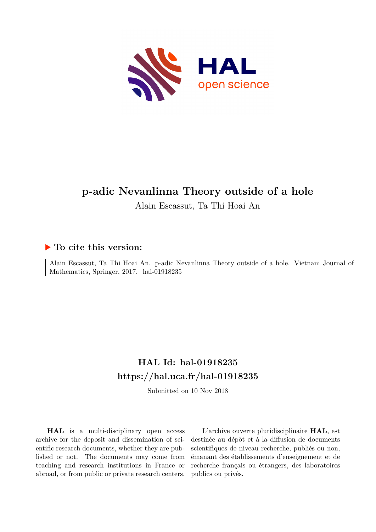

Alain Escassut, Ta Thi Hoai An

## **To cite this version:**

Alain Escassut, Ta Thi Hoai An. p-adic Nevanlinna Theory outside of a hole. Vietnam Journal of Mathematics, Springer, 2017. hal-01918235

# **HAL Id: hal-01918235 <https://hal.uca.fr/hal-01918235>**

Submitted on 10 Nov 2018

**HAL** is a multi-disciplinary open access archive for the deposit and dissemination of scientific research documents, whether they are published or not. The documents may come from teaching and research institutions in France or abroad, or from public or private research centers.

L'archive ouverte pluridisciplinaire **HAL**, est destinée au dépôt et à la diffusion de documents scientifiques de niveau recherche, publiés ou non, émanant des établissements d'enseignement et de recherche français ou étrangers, des laboratoires publics ou privés.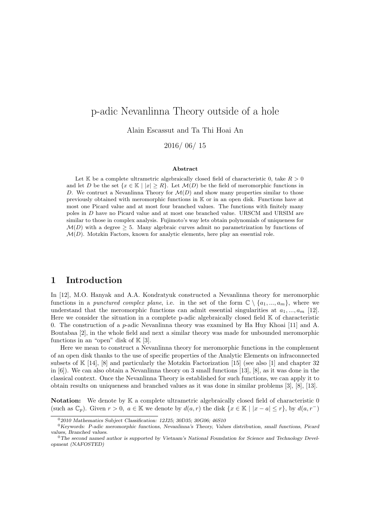Alain Escassut and Ta Thi Hoai An

2016/ 06/ 15

#### Abstract

Let K be a complete ultrametric algebraically closed field of characteristic 0, take  $R > 0$ and let D be the set  $\{x \in \mathbb{K} \mid |x| \geq R\}$ . Let  $\mathcal{M}(D)$  be the field of meromorphic functions in D. We contruct a Nevanlinna Theory for  $\mathcal{M}(D)$  and show many properties similar to those previously obtained with meromorphic functions in K or in an open disk. Functions have at most one Picard value and at most four branched values. The functions with finitely many poles in D have no Picard value and at most one branched value. URSCM and URSIM are similar to those in complex analysis. Fujimoto's way lets obtain polynomials of uniqueness for  $\mathcal{M}(D)$  with a degree  $> 5$ . Many algebraic curves admit no parametrization by functions of  $\mathcal{M}(D)$ . Motzkin Factors, known for analytic elements, here play an essential role.

## 1 Introduction

In [12], M.O. Hanyak and A.A. Kondratyuk constructed a Nevanlinna theory for meromorphic functions in a punctured complex plane, i.e. in the set of the form  $\mathbb{C} \setminus \{a_1, ..., a_m\}$ , where we understand that the meromorphic functions can admit essential singularities at  $a_1, ..., a_m$  [12]. Here we consider the situation in a complete p-adic algebraically closed field K of characteristic 0. The construction of a p-adic Nevanlinna theory was examined by Ha Huy Khoai [11] and A. Boutabaa [2], in the whole field and next a similar theory was made for unbounded meromorphic functions in an "open" disk of  $K[3]$ .

Here we mean to construct a Nevanlinna theory for meromorphic functions in the complement of an open disk thanks to the use of specific properties of the Analytic Elements on infraconnected subsets of  $\mathbb{K}$  [14], [8] and particularly the Motzkin Factorization [15] (see also [1] and chapter 32 in [6]). We can also obtain a Nevanlinna theory on 3 small functions [13], [8], as it was done in the classical context. Once the Nevanlinna Theory is established for such functions, we can apply it to obtain results on uniqueness and branched values as it was done in similar problems [3], [8], [13].

Notation: We denote by  $\mathbb K$  a complete ultrametric algebraically closed field of characteristic 0 (such as  $\mathbb{C}_p$ ). Given  $r > 0$ ,  $a \in \mathbb{K}$  we denote by  $d(a, r)$  the disk  $\{x \in \mathbb{K} \mid |x - a| \leq r\}$ , by  $d(a, r^-)$ 

<sup>0</sup>2010 Mathematics Subject Classification: 12J25; 30D35; 30G06; 46S10

<sup>0</sup>Keywords: P-adic meromorphic functions, Nevanlinna's Theory, Values distribution, small functions, Picard values, Branched values.

 $0$ The second named author is supported by Vietnam's National Foundation for Science and Technology Development (NAFOSTED)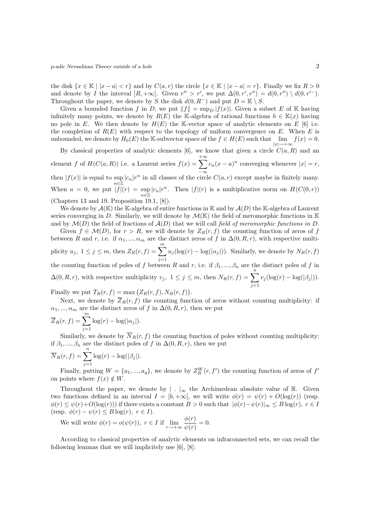the disk  $\{x \in \mathbb{K} \mid |x-a| < r\}$  and by  $C(a, r)$  the circle  $\{x \in \mathbb{K} \mid |x-a|=r\}$ . Finally we fix  $R > 0$ and denote by I the interval  $[R, +\infty[$ . Given  $r'' > r'$ , we put  $\Delta(0, r', r'') = d(0, r'') \setminus d(0, r'')$ . Throughout the paper, we denote by S the disk  $d(0, R^-)$  and put  $D = \mathbb{K} \setminus S$ .

Given a bounded function f in D, we put  $||f|| = \sup_D |f(x)|$ . Given a subset E of K having infinitely many points, we denote by  $R(E)$  the K-algebra of rational functions  $h \in K(x)$  having no pole in E. We then denote by  $H(E)$  the K-vector space of analytic elements on E [6] i.e. the completion of  $R(E)$  with respect to the topology of uniform convergence on E. When E is unbounded, we denote by  $H_0(E)$  the K-subvector space of the  $f \in H(E)$  such that  $\lim_{|x| \to +\infty} f(x) = 0$ .

By classical properties of analytic elements [6], we know that given a circle  $C(a, R)$  and an element f of  $H(C(a, R))$  i.e. a Laurent series  $f(x) = \sum_{k=1}^{+\infty}$ then  $|f(x)|$  is equal to sup  $|c_n|r^n$  in all classes of the circle  $C(a, r)$  except maybe in finitely many.  $c_n(x-a)^n$  converging whenever  $|x|=r$ , When  $a = 0$ , we put  $|f|(r) = \sup_{n \in \mathbb{Z}} |c_n|r^n$ . Then  $|f|(r)$  is a multiplicative norm on  $H(C(0,r))$ (Chapters 13 and 19, Proposition 19.1, [8]).

We denote by  $\mathcal{A}(\mathbb{K})$  the K-algebra of entire functions in K and by  $\mathcal{A}(D)$  the K-algebra of Laurent series converging in D. Similarly, we will denote by  $\mathcal{M}(\mathbb{K})$  the field of meromorphic functions in  $\mathbb{K}$ and by  $\mathcal{M}(D)$  the field of fractions of  $\mathcal{A}(D)$  that we will call field of meromorphic functions in D.

Given  $f \in \mathcal{M}(D)$ , for  $r > R$ , we will denote by  $Z_R(r, f)$  the counting function of zeros of f between R and r, i.e. if  $\alpha_1, ..., \alpha_m$  are the distinct zeros of f in  $\Delta(0, R, r)$ , with respective multiplicity  $u_j, 1 \leq j \leq m$ , then  $Z_R(r, f) = \sum_{i=1}^m$  $j=1$  $u_j(\log(r) - \log(|\alpha_j|))$ . Similarly, we denote by  $N_R(r, f)$ the counting function of poles of f between R and r, i.e. if  $\beta_1, ..., \beta_n$  are the distinct poles of f in  $\Delta(0, R, r)$ , with respective multiplicity  $v_j$ ,  $1 \leq j \leq m$ , then  $N_R(r, f) = \sum_{i=1}^n$  $j=1$  $v_j(\log(r) - \log(|\beta_j|)).$ Finally we put  $T_R(r, f) = \max (Z_R(r, f), N_R(r, f)).$ 

Next, we denote by  $\overline{Z}_R(r, f)$  the counting function of zeros without counting multiplicity: if  $\alpha_1, ..., \alpha_m$  are the distinct zeros of f in  $\Delta(0, R, r)$ , then we put

$$
\overline{Z}_R(r, f) = \sum_{j=1}^m \log(r) - \log(|\alpha_j|).
$$

Similarly, we denote by  $\overline{N}_R(r, f)$  the counting function of poles without counting multiplicity: if  $\beta_1, ..., \beta_n$  are the distinct poles of f in  $\Delta(0, R, r)$ , then we put

$$
\overline{N}_R(r, f) = \sum_{j=1}^n \log(r) - \log(|\beta_j|).
$$

Finally, putting  $W = \{a_1, ..., a_q\}$ , we denote by  $Z_R^W(r, f')$  the counting function of zeros of  $f'$ on points where  $f(x) \notin W$ .

Throughout the paper, we denote by  $\vert \cdot \vert_{\infty}$  the Archimedean absolute value of R. Given two functions defined in an interval  $I = [b, +\infty]$ , we will write  $\phi(r) = \psi(r) + O(\log(r))$  (resp.  $\phi(r) \leq \psi(r)+O(\log(r))$  if there exists a constant  $B > 0$  such that  $|\phi(r)-\psi(r)|_{\infty} \leq B \log(r)$ ,  $r \in I$ (resp.  $\phi(r) - \psi(r) \leq B \log(r), r \in I$ ).

We will write  $\phi(r) = o(\psi(r))$ ,  $r \in I$  if  $\lim_{r \to +\infty} \frac{\phi(r)}{\psi(r)}$  $\frac{\varphi(r)}{\psi(r)} = 0.$ 

According to classical properties of analytic elements on infraconnected sets, we can recall the following lemmas that we will implicitely use [6], [8]: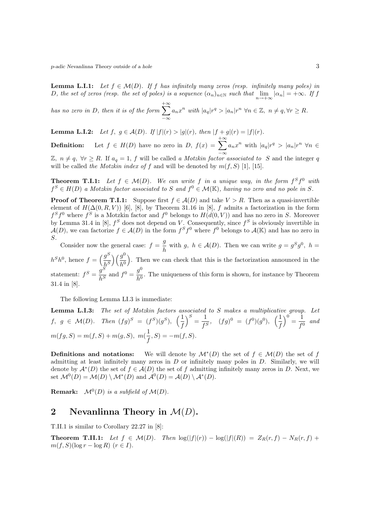**Lemma L.I.1:** Let  $f \in \mathcal{M}(D)$ . If f has infinitely many zeros (resp. infinitely many poles) in D, the set of zeros (resp. the set of poles) is a sequence  $(\alpha_n)_{n\in\mathbb{N}}$  such that  $\lim_{n\to+\infty}|\alpha_n|=+\infty$ . If f

has no zero in D, then it is of the form  $\sum_{n=1}^{+\infty}$  $-\infty$  $a_n x^n$  with  $|a_q|r^q > |a_n|r^n \,\forall n \in \mathbb{Z},\ n \neq q, \forall r \geq R.$ 

Lemma L.I.2: Let  $f, g \in \mathcal{A}(D)$ . If  $|f|(r) > |g|(r)$ , then  $|f + g|(r) = |f|(r)$ .

**Definition:** Let  $f \in H(D)$  have no zero in D,  $f(x) = \sum_{n=0}^{+\infty}$  $a_n x^n$  with  $|a_q|r^q > |a_n|r^n \forall n \in$ 

 $\mathbb{Z}, n \neq q$ , ∀r ≥ R. If  $a_q = 1$ , f will be called a Motzkin factor associated to S and the integer q will be called the Motzkin index of f and will be denoted by  $m(f, S)$  [1], [15].

**Theorem T.I.1:** Let  $f \in \mathcal{M}(D)$ . We can write f in a unique way, in the form  $f^S f^0$  with  $f^S \in H(D)$  a Motzkin factor associated to S and  $f^0 \in \mathcal{M}(\mathbb{K})$ , having no zero and no pole in S.

**Proof of Theorem T.I.1:** Suppose first  $f \in \mathcal{A}(D)$  and take  $V > R$ . Then as a quasi-invertible element of  $H(\Delta(0,R,V))$  [6], [8], by Theorem 31.16 in [8], f admits a factorization in the form  $f^S f^0$  where  $f^S$  is a Motzkin factor and  $f^0$  belongs to  $H(d(0, V))$  and has no zero in S. Moreover by Lemma 31.4 in [8],  $f^S$  does not depend on V. Consequently, since  $f^S$  is obviously invertible in  $\mathcal{A}(D)$ , we can factorize  $f \in \mathcal{A}(D)$  in the form  $f^S f^0$  where  $f^0$  belongs to  $\mathcal{A}(\mathbb{K})$  and has no zero in S.

Consider now the general case:  $f = \frac{g}{l}$  $\frac{g}{h}$  with g,  $h \in \mathcal{A}(D)$ . Then we can write  $g = g^S g^0$ ,  $h =$  $h^S h^0$ , hence  $f = \left(\frac{g^S}{h^S}\right)$  $\frac{g^S}{h^S}\Big) \Big( \frac{g^0}{h^0}$  $\left(\frac{g^0}{h^0}\right)$ . Then we can check that this is the factorization announced in the statement:  $f^S = \frac{g^S}{1.5}$  $\frac{g^S}{h^S}$  and  $f^0 = \frac{g^0}{h^0}$  $\frac{9}{h^0}$ . The uniqueness of this form is shown, for instance by Theorem 31.4 in [8].

The following Lemma LI.3 is immediate:

**Lemma L.I.3:** The set of Motzkin factors associated to S makes a multiplicative group. Let  $f, g \in \mathcal{M}(D)$ . Then  $(fg)^S = (f^S)(g^S)$ ,  $\left(\frac{1}{f}\right)$ f  $S = \frac{1}{\epsilon}$  $\frac{1}{f^S}$ ,  $(fg)^0 = (f^0)(g^0)$ ,  $\left(\frac{1}{f}\right)$ f  $\Big)^0 = \frac{1}{\epsilon_0}$  $\frac{1}{f^0}$  and  $m(fg, S) = m(f, S) + m(g, S), m(\frac{1}{e})$  $(\frac{1}{f}, S) = -m(f, S).$ 

**Definitions and notations:** We will denote by  $\mathcal{M}^*(D)$  the set of  $f \in \mathcal{M}(D)$  the set of f admitting at least infinitely many zeros in  $D$  or infinitely many poles in  $D$ . Similarly, we will denote by  $\mathcal{A}^*(D)$  the set of  $f \in \mathcal{A}(D)$  the set of f admitting infinitely many zeros in D. Next, we set  $\mathcal{M}^0(D) = \mathcal{M}(D) \setminus \mathcal{M}^*(D)$  and  $\mathcal{A}^0(D) = \mathcal{A}(D) \setminus \mathcal{A}^*(D)$ .

**Remark:**  $\mathcal{M}^0(D)$  is a subfield of  $\mathcal{M}(D)$ .

### 2 Nevanlinna Theory in  $\mathcal{M}(D)$ .

T.II.1 is similar to Corollary 22.27 in [8]:

**Theorem T.II.1:** Let  $f \in \mathcal{M}(D)$ . Then  $\log(|f|(r)) - \log(|f|(R)) = Z_R(r, f) - N_R(r, f) +$  $m(f, S)(\log r - \log R)$   $(r \in I)$ .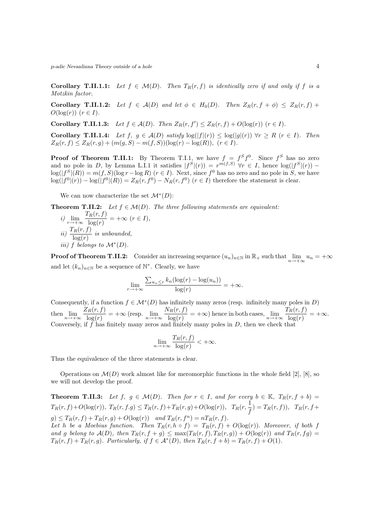Corollary T.II.1.1: Let  $f \in \mathcal{M}(D)$ . Then  $T_R(r, f)$  is identically zero if and only if f is a Motzkin factor.

Corollary T.II.1.2: Let  $f \in \mathcal{A}(D)$  and let  $\phi \in H_0(D)$ . Then  $Z_R(r, f + \phi) \leq Z_R(r, f) +$  $O(\log(r))$   $(r \in I)$ .

**Corollary T.II.1.3:** Let  $f \in \mathcal{A}(D)$ . Then  $Z_R(r, f') \leq Z_R(r, f) + O(\log(r))$   $(r \in I)$ .

Corollary T.II.1.4: Let  $f, g \in \mathcal{A}(D)$  satisfy  $\log(|f|(r)) \leq \log(|g|(r))$   $\forall r \geq R$   $(r \in I)$ . Then  $Z_R(r, f) \leq Z_R(r, g) + (m(g, S) - m(f, S))(\log(r) - \log(R)), (r \in I).$ 

**Proof of Theorem T.II.1:** By Theorem T.I.1, we have  $f = f^S f^0$ . Since  $f^S$  has no zero and no pole in D, by Lemma L.I.1 it satisfies  $|f^S|(r) = r^{m(f,S)} \forall r \in I$ , hence  $\log(|f^S|(r))$  –  $\log(|f^S|(R)) = m(f, S)(\log r - \log R)$   $(r \in I)$ . Next, since  $f^0$  has no zero and no pole in S, we have  $\log(|f^0|(r)) - \log(|f^0|(R)) = Z_R(r, f^0) - N_R(r, f^0)$   $(r \in I)$  therefore the statement is clear.

We can now characterize the set  $\mathcal{M}^*(D)$ :

**Theorem T.II.2:** Let  $f \in \mathcal{M}(D)$ . The three following statements are equivalent:

i)  $\lim_{r \to +\infty} \frac{T_R(r, f)}{\log(r)}$  $\frac{R(Y, J)}{\log(r)} = +\infty \ (r \in I),$ ii)  $\frac{T_R(r, f)}{\log(r)}$  is unbounded, iii) f belongs to  $\mathcal{M}^*(D)$ .

**Proof of Theorem T.II.2:** Consider an increasing sequence  $(u_n)_{n\in\mathbb{N}}$  in  $\mathbb{R}_+$  such that  $\lim_{n\to+\infty}u_n = +\infty$ and let  $(k_n)_{n\in\mathbb{N}}$  be a sequence of  $\mathbb{N}^*$ . Clearly, we have

$$
\lim_{r \to +\infty} \frac{\sum_{u_n \le r} k_n(\log(r) - \log(u_n))}{\log(r)} = +\infty.
$$

Consequently, if a function  $f \in \mathcal{M}^*(D)$  has infinitely many zeros (resp. infinitely many poles in D) then  $\lim_{n \to +\infty} \frac{Z_R(r, f)}{\log(r)}$  $\frac{N_R(r, f)}{\log(r)}$  = + $\infty$  (resp.  $\lim_{n \to +\infty} \frac{N_R(r, f)}{\log(r)}$  $\frac{N_R(r, f)}{\log(r)}$  = + $\infty$ ) hence in both cases,  $\lim_{n \to +\infty} \frac{T_R(r, f)}{\log(r)}$  $\frac{R(Y, y)}{\log(r)} = +\infty.$ Conversely, if  $f$  has finitely many zeros and finitely many poles in  $D$ , then we check that

$$
\lim_{n \to +\infty} \frac{T_R(r, f)}{\log(r)} < +\infty.
$$

Thus the equivalence of the three statements is clear.

Operations on  $\mathcal{M}(D)$  work almost like for meromorphic functions in the whole field [2], [8], so we will not develop the proof.

**Theorem T.II.3:** Let  $f, g \in \mathcal{M}(D)$ . Then for  $r \in I$ , and for every  $b \in \mathbb{K}$ ,  $T_R(r, f + b) =$  $T_R(r, f) + O(\log(r)),\,\, T_R(r, f, g) \le T_R(r, f) + T_R(r, g) + O(\log(r)),\,\,\, T_R(r, \frac{1}{f})$  $\frac{1}{f}$ ) = T<sub>R</sub>(r, f)), T<sub>R</sub>(r, f+  $g) \leq T_R(r, f) + T_R(r, g) + O(\log(r))$  and  $T_R(r, f^n) = nT_R(r, f)$ . Let h be a Moebius function. Then  $T_R(r, h \circ f) = T_R(r, f) + O(\log(r))$ . Moreover, if both f and g belong to  $\mathcal{A}(D)$ , then  $T_R(r, f + g) \leq \max(T_R(r, f), T_R(r, g)) + O(\log(r))$  and  $T_R(r, fg) =$  $T_R(r, f) + T_R(r, g)$ . Particularly, if  $f \in \mathcal{A}^*(D)$ , then  $T_R(r, f + b) = T_R(r, f) + O(1)$ .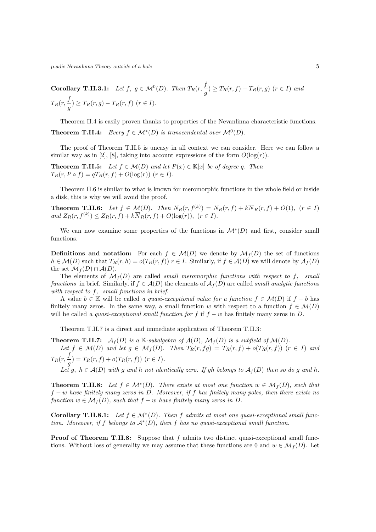**Corollary T.II.3.1:** Let  $f, g \in \mathcal{M}^0(D)$ . Then  $T_R(r, \frac{f}{r})$  $\frac{g}{g}$ )  $\geq T_R(r, f) - T_R(r, g)$   $(r \in I)$  and  $T_R(r,\frac{f}{\cdot})$  $\frac{g}{g}$ )  $\geq T_R(r, g) - T_R(r, f)$   $(r \in I)$ .

Theorem II.4 is easily proven thanks to properties of the Nevanlinna characteristic functions. **Theorem T.II.4:** Every  $f \in \mathcal{M}^*(D)$  is transcendental over  $\mathcal{M}^0(D)$ .

The proof of Theorem T.II.5 is uneasy in all context we can consider. Here we can follow a similar way as in [2], [8], taking into account expressions of the form  $O(\log(r))$ .

**Theorem T.II.5:** Let  $f \in \mathcal{M}(D)$  and let  $P(x) \in \mathbb{K}[x]$  be of degree q. Then  $T_R(r, P \circ f) = qT_R(r, f) + O(\log(r))$   $(r \in I)$ .

Theorem II.6 is similar to what is known for meromorphic functions in the whole field or inside a disk, this is why we will avoid the proof.

**Theorem T.II.6:** Let  $f \in \mathcal{M}(D)$ . Then  $N_R(r, f^{(k)}) = N_R(r, f) + k\overline{N}_R(r, f) + O(1)$ ,  $(r \in I)$ and  $Z_R(r, f^{(k)}) \le Z_R(r, f) + k \overline{N}_R(r, f) + O(\log(r)), (r \in I).$ 

We can now examine some properties of the functions in  $\mathcal{M}^*(D)$  and first, consider small functions.

**Definitions and notation:** For each  $f \in \mathcal{M}(D)$  we denote by  $\mathcal{M}_f(D)$  the set of functions  $h \in \mathcal{M}(D)$  such that  $T_R(r, h) = o(T_R(r, f))$   $r \in I$ . Similarly, if  $f \in \mathcal{A}(D)$  we will denote by  $\mathcal{A}_f(D)$ the set  $\mathcal{M}_f(D) \cap \mathcal{A}(D)$ .

The elements of  $\mathcal{M}_f(D)$  are called *small meromorphic functions with respect to f, small* functions in brief. Similarly, if  $f \in \mathcal{A}(D)$  the elements of  $\mathcal{A}_f(D)$  are called *small analytic functions* with respect to f, small functions in brief.

A value  $b \in \mathbb{K}$  will be called a quasi-exceptional value for a function  $f \in \mathcal{M}(D)$  if  $f - b$  has finitely many zeros. In the same way, a small function w with respect to a function  $f \in \mathcal{M}(D)$ will be called a quasi-exceptional small function for f if  $f - w$  has finitely many zeros in D.

Theorem T.II.7 is a direct and immediate application of Theorem T.II.3:

**Theorem T.II.7:**  $\mathcal{A}_f(D)$  is a K-subalgebra of  $\mathcal{A}(D)$ ,  $\mathcal{M}_f(D)$  is a subfield of  $\mathcal{M}(D)$ . Let  $f \in \mathcal{M}(D)$  and let  $g \in \mathcal{M}_f(D)$ . Then  $T_R(r, fg) = T_R(r, f) + o(T_R(r, f))$   $(r \in I)$  and  $T_R(r,\frac{f}{\cdot})$  $\frac{J}{g}$ ) = T<sub>R</sub>(r, f) + o(T<sub>R</sub>(r, f)) (r  $\in$  I). Let g,  $h \in \mathcal{A}(D)$  with g and h not identically zero. If gh belongs to  $\mathcal{A}_f(D)$  then so do g and h.

**Theorem T.II.8:** Let  $f \in \mathcal{M}^*(D)$ . There exists at most one function  $w \in \mathcal{M}_f(D)$ , such that

 $f - w$  have finitely many zeros in D. Moreover, if f has finitely many poles, then there exists no function  $w \in \mathcal{M}_f(D)$ , such that  $f - w$  have finitely many zeros in D.

Corollary T.II.8.1: Let  $f \in \mathcal{M}^*(D)$ . Then f admits at most one quasi-exceptional small function. Moreover, if f belongs to  $\mathcal{A}^*(D)$ , then f has no quasi-exceptional small function.

**Proof of Theorem T.II.8:** Suppose that f admits two distinct quasi-exceptional small functions. Without loss of generality we may assume that these functions are 0 and  $w \in \mathcal{M}_f(D)$ . Let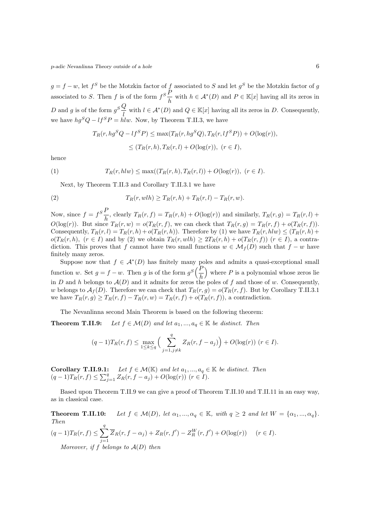$g = f - w$ , let  $f^S$  be the Motzkin factor of f associated to S and let  $g^S$  be the Motzkin factor of g associated to S. Then f is of the form  $f^S \frac{\overline{P}}{I}$  $\frac{F}{h}$  with  $h \in \mathcal{A}^*(D)$  and  $P \in \mathbb{K}[x]$  having all its zeros in D and g is of the form  $g^S \frac{Q}{I}$  $\frac{d}{d}$  with  $l \in \mathcal{A}^*(D)$  and  $Q \in \mathbb{K}[x]$  having all its zeros in D. Consequently, we have  $hg^SQ - lf^SP = \dot{h}lw$ . Now, by Theorem T.II.3, we have

$$
T_R(r, hg^SQ - lf^SP) \le \max(T_R(r, hg^SQ), T_R(r, lf^SP)) + O(\log(r)),
$$
  

$$
\le (T_R(r, h), T_R(r, l) + O(\log(r)), (r \in I),
$$

hence

(1) 
$$
T_R(r, h l w) \leq \max((T_R(r, h), T_R(r, l)) + O(\log(r)), (r \in I).
$$

Next, by Theorem T.II.3 and Corollary T.II.3.1 we have

(2) 
$$
T_R(r, wlh) \geq T_R(r, h) + T_R(r, l) - T_R(r, w).
$$

Now, since  $f = f^S \frac{F}{I}$  $\frac{F}{h}$ , clearly  $T_R(r, f) = T_R(r, h) + O(\log(r))$  and similarly,  $T_R(r, g) = T_R(r, l) +$  $O(\log(r))$ . But since  $T_R(r, w) = o(T_R(r, f))$ , we can check that  $T_R(r, g) = T_R(r, f) + o(T_R(r, f))$ . Consequently,  $T_R(r, l) = T_R(r, h) + o(T_R(r, h))$ . Therefore by (1) we have  $T_R(r, hlw) < (T_R(r, h) + o(T_R(r, h))$ .  $o(T_R(r, h), (r \in I)$  and by (2) we obtain  $T_R(r, w/h) \geq 2T_R(r, h) + o(T_R(r, f))$   $(r \in I)$ , a contradiction. This proves that f cannot have two small functions  $w \in \mathcal{M}_f(D)$  such that  $f - w$  have finitely many zeros.

Suppose now that  $f \in \mathcal{A}^*(D)$  has finitely many poles and admits a quasi-exceptional small function w. Set  $g = f - w$ . Then g is of the form  $g^S\left(\frac{F}{h}\right)$ h where  $P$  is a polynomial whose zeros lie in D and h belongs to  $A(D)$  and it admits for zeros the poles of f and those of w. Consequently, w belongs to  $\mathcal{A}_f(D)$ . Therefore we can check that  $T_R(r, g) = o(T_R(r, f)$ . But by Corollary T.II.3.1 we have  $T_R(r, g) \geq T_R(r, f) - T_R(r, w) = T_R(r, f) + o(T_R(r, f))$ , a contradiction.

The Nevanlinna second Main Theorem is based on the following theorem:

**Theorem T.II.9:** Let  $f \in \mathcal{M}(D)$  and let  $a_1, ..., a_q \in \mathbb{K}$  be distinct. Then

$$
(q-1)T_R(r, f) \le \max_{1 \le k \le q} \Big( \sum_{j=1, j \ne k}^{q} Z_R(r, f - a_j) \Big) + O(\log(r)) \ (r \in I).
$$

**Corollary T.II.9.1:** Let  $f \in \mathcal{M}(\mathbb{K})$  and let  $a_1, ..., a_q \in \mathbb{K}$  be distinct. Then  $(q-1)T_R(r, f) \le \sum_{j=1}^q Z_R(r, f - a_j) + O(\log(r))$   $(r \in I)$ .

Based upon Theorem T.II.9 we can give a proof of Theorem T.II.10 and T.II.11 in an easy way, as in classical case.

**Theorem T.II.10:** Let  $f \in \mathcal{M}(D)$ , let  $\alpha_1, ..., \alpha_q \in \mathbb{K}$ , with  $q \geq 2$  and let  $W = {\alpha_1, ..., \alpha_q}$ . Then  $(q-1)T_R(r, f) \leq \sum_{i=1}^{q}$  $j=1$  $\overline{Z}_R(r, f - \alpha_j) + Z_R(r, f') - Z_R^W(r, f') + O(\log(r))$   $(r \in I)$ . Moreover, if f belongs to  $A(D)$  then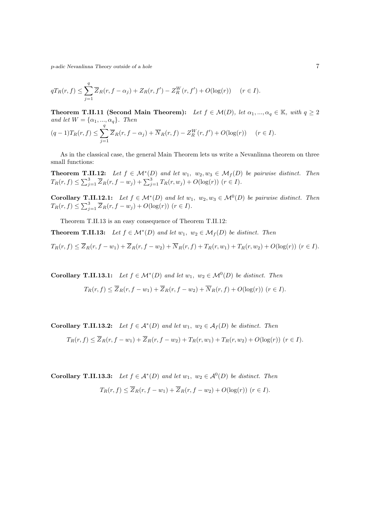$$
qT_R(r, f) \le \sum_{j=1}^q \overline{Z}_R(r, f - \alpha_j) + Z_R(r, f') - Z_R^W(r, f') + O(\log(r)) \quad (r \in I).
$$

**Theorem T.II.11 (Second Main Theorem):** Let  $f \in \mathcal{M}(D)$ , let  $\alpha_1, ..., \alpha_q \in \mathbb{K}$ , with  $q \geq 2$ and let  $W = {\alpha_1, ..., \alpha_q}.$  Then

$$
(q-1)T_R(r,f) \le \sum_{j=1}^q \overline{Z}_R(r,f-\alpha_j) + \overline{N}_R(r,f) - Z_R^W(r,f') + O(\log(r)) \quad (r \in I).
$$

As in the classical case, the general Main Theorem lets us write a Nevanlinna theorem on three small functions:

**Theorem T.II.12:** Let  $f \in \mathcal{M}^*(D)$  and let  $w_1, w_2, w_3 \in \mathcal{M}_f(D)$  be pairwise distinct. Then  $T_R(r, f) \le \sum_{j=1}^3 \overline{Z}_R(r, f - w_j) + \sum_{j=1}^3 T_R(r, w_j) + O(\log(r))$   $(r \in I)$ .

**Corollary T.II.12.1:** Let  $f \in \mathcal{M}^*(D)$  and let  $w_1, w_2, w_3 \in \mathcal{M}^0(D)$  be pairwise distinct. Then  $T_R(r, f) \leq \sum_{j=1}^3 \overline{Z}_R(r, f - w_j) + O(\log(r))$   $(r \in I)$ .

Theorem T.II.13 is an easy consequence of Theorem T.II.12:

**Theorem T.II.13:** Let  $f \in \mathcal{M}^*(D)$  and let  $w_1, w_2 \in \mathcal{M}_f(D)$  be distinct. Then

 $T_R(r, f) \leq \overline{Z}_R(r, f - w_1) + \overline{Z}_R(r, f - w_2) + \overline{N}_R(r, f) + T_R(r, w_1) + T_R(r, w_2) + O(\log(r))$  ( $r \in I$ ).

**Corollary T.II.13.1:** Let  $f \in \mathcal{M}^*(D)$  and let  $w_1, w_2 \in \mathcal{M}^0(D)$  be distinct. Then

$$
T_R(r,f) \leq \overline{Z}_R(r,f-w_1) + \overline{Z}_R(r,f-w_2) + \overline{N}_R(r,f) + O(\log(r)) \ (r \in I).
$$

**Corollary T.II.13.2:** Let  $f \in A^*(D)$  and let  $w_1, w_2 \in A_f(D)$  be distinct. Then  $T_R(r, f) \leq \overline{Z}_R(r, f - w_1) + \overline{Z}_R(r, f - w_2) + T_R(r, w_1) + T_R(r, w_2) + O(\log(r))$  ( $r \in I$ ).

**Corollary T.II.13.3:** Let  $f \in A^*(D)$  and let  $w_1, w_2 \in A^0(D)$  be distinct. Then  $T_R(r, f) \leq \overline{Z}_R(r, f - w_1) + \overline{Z}_R(r, f - w_2) + O(\log(r))$   $(r \in I)$ .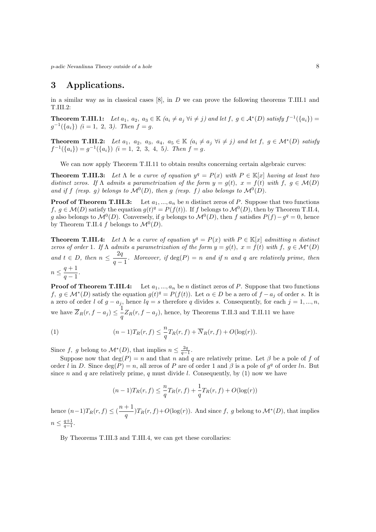## 3 Applications.

in a similar way as in classical cases  $[8]$ , in D we can prove the following theorems T.III.1 and T.III.2:

**Theorem T.III.1:** Let  $a_1, a_2, a_3 \in \mathbb{K}$   $(a_i \neq a_j \ \forall i \neq j)$  and let  $f, g \in \mathcal{A}^*(D)$  satisfy  $f^{-1}(\{a_i\}) =$  $g^{-1}(\{a_i\})$   $(i = 1, 2, 3)$ . Then  $f = g$ .

**Theorem T.III.2:** Let  $a_1, a_2, a_3, a_4, a_5 \in \mathbb{K}$   $(a_i \neq a_j \ \forall i \neq j)$  and let  $f, g \in \mathcal{M}^*(D)$  satisfy  $f^{-1}(\{a_i\}) = g^{-1}(\{a_i\})$   $(i = 1, 2, 3, 4, 5)$ . Then  $f = g$ .

We can now apply Theorem T.II.11 to obtain results concerning certain algebraic curves:

**Theorem T.III.3:** Let  $\Lambda$  be a curve of equation  $y^q = P(x)$  with  $P \in \mathbb{K}[x]$  having at least two distinct zeros. If  $\Lambda$  admits a parametrization of the form  $y = g(t)$ ,  $x = f(t)$  with  $f, g \in \mathcal{M}(D)$ and if f (resp. g) belongs to  $\mathcal{M}^0(D)$ , then g (resp. f) also belongs to  $\mathcal{M}^0(D)$ .

**Proof of Theorem T.III.3:** Let  $a_1, ..., a_n$  be n distinct zeros of P. Suppose that two functions f,  $g \in \mathcal{M}(D)$  satisfy the equation  $g(t)^q = P(f(t))$ . If f belongs to  $\mathcal{M}^0(D)$ , then by Theorem T.II.4, g also belongs to  $\mathcal{M}^0(D)$ . Conversely, if g belongs to  $\mathcal{M}^0(D)$ , then f satisfies  $P(f) - g^q = 0$ , hence by Theorem T.II.4 f belongs to  $\mathcal{M}^0(D)$ .

**Theorem T.III.4:** Let  $\Lambda$  be a curve of equation  $y^q = P(x)$  with  $P \in \mathbb{K}[x]$  admitting n distinct zeros of order 1. If  $\Lambda$  admits a parametrization of the form  $y = g(t)$ ,  $x = f(t)$  with  $f, g \in \mathcal{M}^*(D)$ and  $t \in D$ , then  $n \leq \frac{2q}{2}$  $\frac{-q}{q-1}$ . Moreover, if  $\deg(P) = n$  and if n and q are relatively prime, then  $n \leq \frac{q+1}{1}$  $\frac{q+1}{q-1}$ .

**Proof of Theorem T.III.4:** Let  $a_1, ..., a_n$  be n distinct zeros of P. Suppose that two functions f,  $g \in \mathcal{M}^*(D)$  satisfy the equation  $g(t)^q = P(f(t))$ . Let  $\alpha \in D$  be a zero of  $f - a_j$  of order s. It is a zero of order l of  $g - a_j$ , hence  $lq = s$  therefore q divides s. Consequently, for each  $j = 1, ..., n$ , we have  $\overline{Z}_R(r, f - a_j) \leq \frac{1}{r}$  $\frac{1}{q}Z_R(r, f - a_j)$ , hence, by Theorems T.II.3 and T.II.11 we have

(1) 
$$
(n-1)T_R(r,f) \leq \frac{n}{q}T_R(r,f) + \overline{N}_R(r,f) + O(\log(r)).
$$

Since f, g belong to  $\mathcal{M}^*(D)$ , that implies  $n \leq \frac{2q}{q-1}$ .

Suppose now that  $\deg(P) = n$  and that n and q are relatively prime. Let  $\beta$  be a pole of f of order l in D. Since  $deg(P) = n$ , all zeros of P are of order 1 and  $\beta$  is a pole of  $g<sup>q</sup>$  of order ln. But since n and q are relatively prime, q must divide l. Consequently, by  $(1)$  now we have

$$
(n-1)T_R(r, f) \leq \frac{n}{q}T_R(r, f) + \frac{1}{q}T_R(r, f) + O(\log(r))
$$

hence  $(n-1)T_R(r, f) \leq (\frac{n+1}{r})$  $\frac{q+1}{q}$ ) $T_R(r, f) + O(\log(r))$ . And since f, g belong to  $\mathcal{M}^*(D)$ , that implies  $n \leq \frac{q+1}{q-1}.$ 

By Theorems T.III.3 and T.III.4, we can get these corollaries: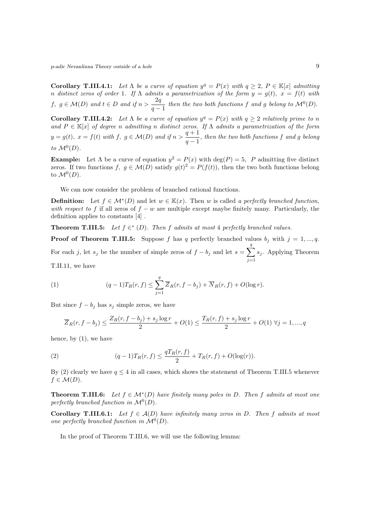**Corollary T.III.4.1:** Let  $\Lambda$  be a curve of equation  $y^q = P(x)$  with  $q \geq 2$ ,  $P \in \mathbb{K}[x]$  admitting n distinct zeros of order 1. If  $\Lambda$  admits a parametrization of the form  $y = g(t)$ ,  $x = f(t)$  with  $f, g \in \mathcal{M}(D)$  and  $t \in D$  and if  $n > \frac{2q}{d}$  $\frac{2q}{q-1}$  then the two both functions f and g belong to  $\mathcal{M}^0(D)$ .

**Corollary T.III.4.2:** Let  $\Lambda$  be a curve of equation  $y^q = P(x)$  with  $q \geq 2$  relatively prime to n and  $P \in \mathbb{K}[x]$  of degree n admitting n distinct zeros. If  $\Lambda$  admits a parametrization of the form  $y = g(t), x = f(t)$  with  $f, g \in \mathcal{M}(D)$  and if  $n > \frac{q+1}{r}$  $\frac{q+1}{q-1}$ , then the two both functions f and g belong to  $\mathcal{M}^0(D)$ .

**Example:** Let  $\Lambda$  be a curve of equation  $y^2 = P(x)$  with  $\deg(P) = 5$ , P admitting five distinct zeros. If two functions  $f, g \in \mathcal{M}(D)$  satisfy  $g(t)^2 = P(f(t))$ , then the two both functions belong to  $\mathcal{M}^0(D)$ .

We can now consider the problem of branched rational functions.

**Definition:** Let  $f \in \mathcal{M}^*(D)$  and let  $w \in \mathbb{K}(x)$ . Then w is called a perfectly branched function, with respect to f if all zeros of  $f - w$  are multiple except maybe finitely many. Particularly, the definition applies to constants [4] .

**Theorem T.III.5:** Let  $f \in K$  (D). Then f admits at most 4 perfectly branched values.

**Proof of Theorem T.III.5:** Suppose f has q perfectly branched values  $b_j$  with  $j = 1, ..., q$ . For each j, let  $s_j$  be the number of simple zeros of  $f - b_j$  and let  $s = \sum_{j=1}^{q}$  $j=1$  $s_j$ . Applying Theorem T.II.11, we have

(1) 
$$
(q-1)T_R(r, f) \le \sum^q \overline{Z}_R(r, f-b_j) + \overline{N}_R(r, f) + O(\log r).
$$

But since  $f - b_j$  has  $s_j$  simple zeros, we have

$$
\overline{Z}_R(r, f - b_j) \le \frac{Z_R(r, f - b_j) + s_j \log r}{2} + O(1) \le \frac{T_R(r, f) + s_j \log r}{2} + O(1) \,\forall j = 1, ..., q
$$

hence, by (1), we have

(2) 
$$
(q-1)T_R(r,f) \leq \frac{qT_R(r,f)}{2} + T_R(r,f) + O(\log(r)).
$$

 $j=1$ 

By (2) clearly we have  $q \leq 4$  in all cases, which shows the statement of Theorem T.III.5 whenever  $f \in \mathcal{M}(D).$ 

**Theorem T.III.6:** Let  $f \in \mathcal{M}^*(D)$  have finitely many poles in D. Then f admits at most one perfectly branched function in  $\mathcal{M}^0(D)$ .

Corollary T.III.6.1: Let  $f \in \mathcal{A}(D)$  have infinitely many zeros in D. Then f admits at most one perfectly branched function in  $\mathcal{M}^0(D)$ .

In the proof of Theorem T.III.6, we will use the following lemma: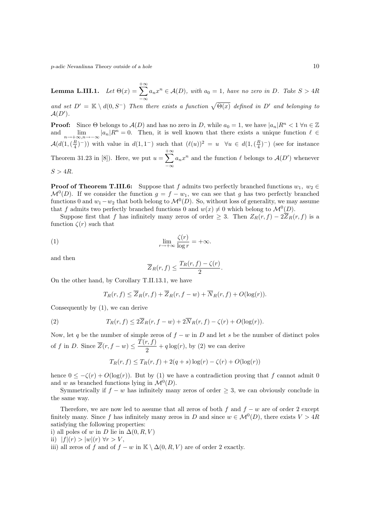Lemma L.III.1.  $Let \Theta(x) = \sum_{n=0}^{+\infty}$  $-\infty$  $a_n x^n \in \mathcal{A}(D)$ , with  $a_0 = 1$ , have no zero in D. Take  $S > 4R$ and set  $D' = \mathbb{K} \setminus d(0, S^-)$  Then there exists a function  $\sqrt{\Theta(x)}$  defined in D' and belonging to  $A(D^{\prime}).$ 

**Proof:** Since  $\Theta$  belongs to  $\mathcal{A}(D)$  and has no zero in D, while  $a_0 = 1$ , we have  $|a_n|R^n < 1 \,\forall n \in \mathbb{Z}$ and  $\lim_{n\to+\infty,n\to-\infty} |a_n|R^n = 0$ . Then, it is well known that there exists a unique function  $\ell \in$  $\mathcal{A}(d(1,(\frac{R}{4})^{-}))$  with value in  $d(1,1^{-})$  such that  $(\ell(u))^{2} = u \quad \forall u \in d(1,(\frac{R}{4})^{-})$  (see for instance Theorem 31.23 in [8]). Here, we put  $u = \sum_{n=1}^{+\infty}$  $-\infty$  $a_n x^n$  and the function  $\ell$  belongs to  $\mathcal{A}(D')$  whenever  $S > 4R$ .

**Proof of Theorem T.III.6:** Suppose that f admits two perfectly branched functions  $w_1, w_2 \in$  $\mathcal{M}^0(D)$ . If we consider the function  $g = f - w_1$ , we can see that g has two perfectly branched functions 0 and  $w_1 - w_2$  that both belong to  $\mathcal{M}^0(D)$ . So, without loss of generality, we may assume that f admits two perfectly branched functions 0 and  $w(x) \neq 0$  which belong to  $\mathcal{M}^0(D)$ .

Suppose first that f has infinitely many zeros of order  $\geq 3$ . Then  $Z_R(r, f) - 2\overline{Z}_R(r, f)$  is a function  $\zeta(r)$  such that

(1) 
$$
\lim_{r \to +\infty} \frac{\zeta(r)}{\log r} = +\infty.
$$

and then

$$
\overline{Z}_R(r,f) \le \frac{T_R(r,f) - \zeta(r)}{2}.
$$

On the other hand, by Corollary T.II.13.1, we have

$$
T_R(r, f) \le \overline{Z}_R(r, f) + \overline{Z}_R(r, f - w) + \overline{N}_R(r, f) + O(\log(r)).
$$

Consequently by (1), we can derive

(2) 
$$
T_R(r, f) \leq 2\overline{Z}_R(r, f - w) + 2\overline{N}_R(r, f) - \zeta(r) + O(\log(r)).
$$

Now, let q be the number of simple zeros of  $f - w$  in D and let s be the number of distinct poles of f in D. Since  $\overline{Z}(r, f - w) \leq \frac{T(r, f)}{2}$  $\frac{1}{2}$ ,  $\frac{1}{2}$  +  $q \log(r)$ , by (2) we can derive

$$
T_R(r, f) \le T_R(r, f) + 2(q + s) \log(r) - \zeta(r) + O(\log(r))
$$

hence  $0 \leq -\zeta(r) + O(\log(r))$ . But by (1) we have a contradiction proving that f cannot admit 0 and w as branched functions lying in  $\mathcal{M}^0(D)$ .

Symmetrically if  $f - w$  has infinitely many zeros of order  $\geq 3$ , we can obviously conclude in the same way.

Therefore, we are now led to assume that all zeros of both f and  $f - w$  are of order 2 except finitely many. Since f has infinitely many zeros in D and since  $w \in \mathcal{M}^0(D)$ , there exists  $V > 4R$ satisfying the following properties:

i) all poles of w in D lie in  $\Delta(0, R, V)$ ii)  $|f|(r) > |w|(r) \forall r > V$ ,

iii) all zeros of f and of  $f - w$  in  $\mathbb{K} \setminus \Delta(0, R, V)$  are of order 2 exactly.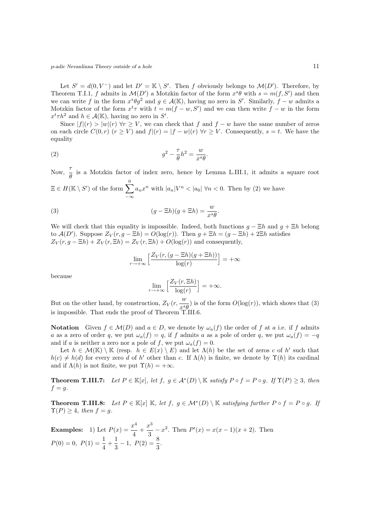Let  $S' = d(0, V^-)$  and let  $D' = \mathbb{K} \setminus S'$ . Then f obviously belongs to  $\mathcal{M}(D')$ . Therefore, by Theorem T.I.1, f admits in  $\mathcal{M}(D')$  a Motzkin factor of the form  $x^s\theta$  with  $s = m(f, S')$  and then we can write f in the form  $x^s \theta g^2$  and  $g \in \mathcal{A}(\mathbb{K})$ , having no zero in S'. Similarly,  $f - w$  admits a Motzkin factor of the form  $x^t \tau$  with  $t = m(f - w, S')$  and we can then write  $f - w$  in the form  $x^t \tau h^2$  and  $h \in \mathcal{A}(\mathbb{K})$ , having no zero in S'.

Since  $|f|(r) > |w|(r)$   $\forall r \geq V$ , we can check that f and  $f - w$  have the same number of zeros on each circle  $C(0,r)$   $(r \geq V)$  and  $f|(r) = |f-w|(r)$   $\forall r \geq V$ . Consequently,  $s = t$ . We have the equality

(2) 
$$
g^2 - \frac{\tau}{\theta} h^2 = \frac{w}{x^s \theta}.
$$

Now,  $\frac{\tau}{\theta}$  is a Motzkin factor of index zero, hence by Lemma L.III.1, it admits a square root

 $\Xi \in H(\mathbb{K} \setminus S')$  of the form  $\sum_{n=1}^{\infty}$ −∞  $a_n x^n$  with  $|a_n| V^n < |a_0| \forall n < 0$ . Then by (2) we have

(3) 
$$
(g - \Xi h)(g + \Xi h) = \frac{w}{x^s \theta}.
$$

We will check that this equality is impossible. Indeed, both functions  $q - \Xi h$  and  $q + \Xi h$  belong to  $\mathcal{A}(D')$ . Suppose  $Z_V(r, g - \Xi h) = O(\log(r))$ . Then  $g + \Xi h = (g - \Xi h) + 2\Xi h$  satisfies  $Z_V(r, g - \Xi h) + Z_V(r, \Xi h) = Z_V(r, \Xi h) + O(\log(r))$  and consequently,

$$
\lim_{r \to +\infty} \left[ \frac{Z_V(r, (g - \Xi h)(g + \Xi h))}{\log(r)} \right] = +\infty
$$

because

$$
\lim_{r \to +\infty} \left[ \frac{Z_V(r, \Xi h)}{\log(r)} \right] = +\infty.
$$

But on the other hand, by construction,  $Z_V(r, \frac{w}{\sqrt{s}})$  $\frac{w}{x \cdot \theta}$  is of the form  $O(\log(r))$ , which shows that (3) is impossible. That ends the proof of Theorem T.III.6.

Notation Given  $f \in \mathcal{M}(D)$  and  $a \in D$ , we denote by  $\omega_a(f)$  the order of f at a i.e. if f admits a as a zero of order q, we put  $\omega_a(f) = q$ , if f admits a as a pole of order q, we put  $\omega_a(f) = -q$ and if a is neither a zero nor a pole of f, we put  $\omega_a(f) = 0$ .

Let  $h \in \mathcal{M}(\mathbb{K}) \setminus \mathbb{K}$  (resp.  $h \in E(x) \setminus E$ ) and let  $\Lambda(h)$  be the set of zeros c of h' such that  $h(c) \neq h(d)$  for every zero d of h' other than c. If  $\Lambda(h)$  is finite, we denote by  $\Upsilon(h)$  its cardinal and if  $\Lambda(h)$  is not finite, we put  $\Upsilon(h) = +\infty$ .

**Theorem T.III.7:** Let  $P \in \mathbb{K}[x]$ , let  $f, g \in \mathcal{A}^*(D) \setminus \mathbb{K}$  satisfy  $P \circ f = P \circ g$ . If  $\Upsilon(P) \geq 3$ , then  $f = g$ .

**Theorem T.III.8:** Let  $P \in \mathbb{K}[x]$   $\mathbb{K}$ , let  $f, g \in \mathcal{M}^*(D) \setminus \mathbb{K}$  satisfying further  $P \circ f = P \circ g$ . If  $\Upsilon(P) \geq 4$ , then  $f = g$ .

**Examples:** 1) Let  $P(x) = \frac{x^4}{4}$  $\frac{x^4}{4} + \frac{x^3}{3}$  $\frac{c}{3} - x^2$ . Then  $P'(x) = x(x-1)(x+2)$ . Then  $P(0) = 0, P(1) = \frac{1}{4} + \frac{1}{3}$  $\frac{1}{3} - 1$ ,  $P(2) = \frac{8}{3}$ .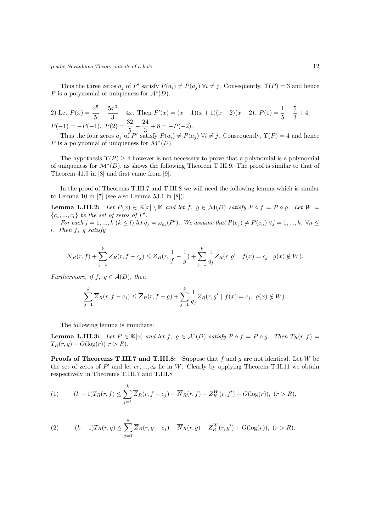Thus the three zeros  $a_j$  of P' satisfy  $P(a_i) \neq P(a_j)$   $\forall i \neq j$ . Consequently,  $\Upsilon(P) = 3$  and hence P is a polynomial of uniqueness for  $\mathcal{A}^*(D)$ .

2) Let 
$$
P(x) = \frac{x^5}{5} - \frac{5x^3}{3} + 4x
$$
. Then  $P'(x) = (x - 1)(x + 1)(x - 2)(x + 2)$ .  $P(1) = \frac{1}{5} - \frac{5}{3} + 4$ ,  
\n $P(-1) = -P(-1)$ ,  $P(2) = \frac{32}{5} - \frac{24}{3} + 8 = -P(-2)$ .

Thus the four zeros  $a_j$  of P' satisfy  $P(a_i) \neq P(a_j)$   $\forall i \neq j$ . Consequently,  $\Upsilon(P) = 4$  and hence P is a polynomial of uniqueness for  $\mathcal{M}^*(D)$ .

The hypothesis  $\Upsilon(P) \geq 4$  however is not necessary to prove that a polynomial is a polynomial of uniqueness for  $\mathcal{M}^*(D)$ , as shows the following Theorem T.III.9. The proof is similar to that of Theorem 41.9 in [8] and first came from [9].

In the proof of Theorems T.III.7 and T.III.8 we will need the following lemma which is similar to Lemma 10 in  $[7]$  (see also Lemma 53.1 in  $[8]$ ):

**Lemma L.III.2:** Let  $P(x) \in \mathbb{K}[x] \setminus \mathbb{K}$  and let  $f, g \in \mathcal{M}(D)$  satisfy  $P \circ f = P \circ g$ . Let  $W =$  $\{c_1, ..., c_l\}$  be the set of zeros of  $P'$ .

For each  $j = 1, ..., k$   $(k \leq l)$  let  $q_j = \omega_{c_j}(P')$ . We assume that  $P(c_j) \neq P(c_n)$   $\forall j = 1, ..., k$ ,  $\forall n \leq l$ l. Then f, g satisfy

$$
\overline{N}_R(r, f) + \sum_{j=1}^k \overline{Z}_R(r, f - c_j) \leq \overline{Z}_R(r, \frac{1}{f} - \frac{1}{g}) + \sum_{j=1}^k \frac{1}{q_j} Z_R(r, g' \mid f(x) = c_j, \ g(x) \notin W).
$$

Furthermore, if  $f, g \in \mathcal{A}(D)$ , then

$$
\sum_{j=1}^{k} \overline{Z}_{R}(r, f - c_{j}) \leq \overline{Z}_{R}(r, f - g) + \sum_{j=1}^{k} \frac{1}{q_{j}} Z_{R}(r, g' \mid f(x) = c_{j}, g(x) \notin W).
$$

The following lemma is immdiate:

**Lemma L.III.3:** Let  $P \in \mathbb{K}[x]$  and let  $f, g \in \mathcal{A}^*(D)$  satisfy  $P \circ f = P \circ g$ . Then  $T_R(r, f) =$  $T_R(r, q) + O(\log(r))$   $r > R$ ).

**Proofs of Theorems T.III.7 and T.III.8:** Suppose that f and g are not identical. Let W be the set of zeros of  $P'$  and let  $c_1, ..., c_k$  lie in W. Clearly by applying Theorem T.II.11 we obtain respectively in Theorems T.III.7 and T.III.8

(1) 
$$
(k-1)T_R(r,f) \leq \sum_{j=1}^k \overline{Z}_R(r,f-c_j) + \overline{N}_R(r,f) - Z_R^W(r,f') + O(\log(r)), \ (r > R),
$$

(2) 
$$
(k-1)T_R(r,g) \leq \sum_{j=1}^k \overline{Z}_R(r,g-c_j) + \overline{N}_R(r,g) - Z_R^W(r,g') + O(\log(r)), \ (r > R).
$$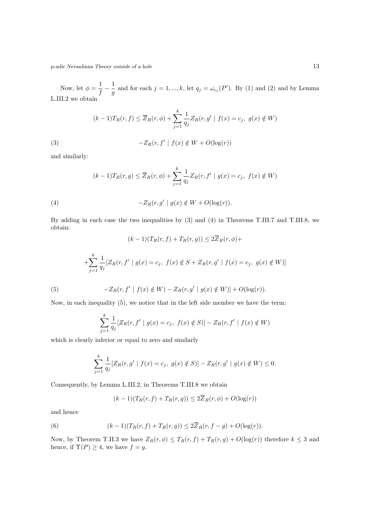Now, let  $\phi = \frac{1}{\epsilon}$  $\frac{1}{f} - \frac{1}{g}$  $\frac{1}{g}$  and for each  $j = 1, ..., k$ , let  $q_j = \omega_{c_j}(P')$ . By (1) and (2) and by Lemma L.III.2 we obtain

$$
(k-1)T_R(r, f) \le \overline{Z}_R(r, \phi) + \sum_{j=1}^k \frac{1}{q_j} Z_R(r, g' \mid f(x) = c_j, \ g(x) \notin W)
$$

(3) 
$$
-Z_R(r, f' | f(x) \notin W + O(\log(r))
$$

and similarly:

$$
(k-1)T_R(r,g) \le \overline{Z}_R(r,\phi) + \sum_{j=1}^k \frac{1}{q_j} Z_R(r,f' \mid g(x) = c_j, \ f(x) \notin W)
$$

(4) 
$$
-Z_R(r,g' \mid g(x) \notin W + O(\log(r)).
$$

By adding in each case the two inequalities by (3) and (4) in Theorems T.III.7 and T.III.8, we obtain:

(5)  
\n
$$
(k-1)(T_R(r, f) + T_R(r, g)) \le 2\overline{Z}_R(r, \phi) +
$$
\n
$$
+ \sum_{j=1}^k \frac{1}{q_j} [Z_R(r, f' \mid g(x) = c_j, f(x) \notin S + Z_R(r, g' \mid f(x) = c_j, g(x) \notin W)]
$$
\n
$$
-Z_R(r, f' \mid f(x) \notin W) - Z_R(r, g' \mid g(x) \notin W)] + O(\log(r)).
$$

Now, in each inequality (5), we notice that in the left side member we have the term:

$$
\sum_{j=1}^{k} \frac{1}{q_j} [Z_R(r, f' \mid g(x) = c_j, f(x) \notin S)] - Z_R(r, f' \mid f(x) \notin W)
$$

which is clearly inferior or equal to zero and similarly

$$
\sum_{j=1}^{k} \frac{1}{q_j} [Z_R(r, g' \mid f(x) = c_j, \ g(x) \notin S)] - Z_R(r, g' \mid g(x) \notin W) \le 0.
$$

Consequently, by Lemma L.III.2, in Theorems T.III.8 we obtain

$$
(k-1)(T_R(r, f) + T_R(r, g)) \le 2Z_R(r, \phi) + O(\log(r))
$$

and hence

(6) 
$$
(k-1)(T_R(r,f) + T_R(r,g)) \leq 2\overline{Z}_R(r,f-g) + O(\log(r)).
$$

Now, by Theorem T.II.3 we have  $Z_R(r, \phi) \leq T_R(r, f) + T_R(r, g) + O(\log(r))$  therefore  $k \leq 3$  and hence, if  $\Upsilon(P) \geq 4$ , we have  $f = g$ .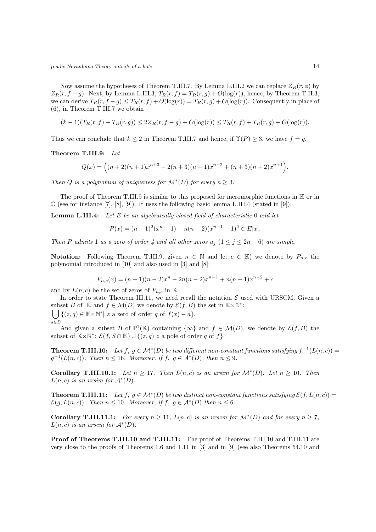Now assume the hypotheses of Theorem T.III.7. By Lemma L.III.2 we can replace  $Z_R(r, \phi)$  by  $Z_R(r, f - g)$ . Next, by Lemma L.III.3,  $T_R(r, f) = T_R(r, g) + O(log(r))$ , hence, by Theorem T.II.3, we can derive  $T_R(r, f - g) \leq T_R(r, f) + O(\log(r)) = T_R(r, g) + O(\log(r))$ . Consequently in place of (6), in Theorem T.III.7 we obtain

$$
(k-1)(T_R(r,f) + T_R(r,g)) \le 2\overline{Z}_R(r,f-g) + O(\log(r)) \le T_R(r,f) + T_R(r,g) + O(\log(r)).
$$

Thus we can conclude that  $k \leq 2$  in Theorem T.III.7 and hence, if  $\Upsilon(P) \geq 3$ , we have  $f = g$ .

Theorem T.III.9: Let

$$
Q(x) = ((n+2)(n+1)x^{n+3} - 2(n+3)(n+1)x^{n+2} + (n+3)(n+2)x^{n+1}).
$$

Then Q is a polynomial of uniqueness for  $\mathcal{M}^*(D)$  for every  $n \geq 3$ .

The proof of Theorem T.III.9 is similar to this proposed for meromorphic functions in K or in  $\mathbb C$  (see for instance [7], [8], [9]). It uses the following basic lemma L.III.4 (stated in [9]):

**Lemma L.III.4:** Let  $E$  be an algebraically closed field of characteristic 0 and let

$$
P(x) = (n-1)^2(x^n - 1) - n(n-2)(x^{n-1} - 1)^2 \in E[x].
$$

Then P admits 1 as a zero of order 4 and all other zeros  $u_j$   $(1 \le j \le 2n-6)$  are simple.

**Notation:** Following Theorem T.III.9, given  $n \in \mathbb{N}$  and let  $c \in \mathbb{K}$ ) we denote by  $P_{n,c}$  the polynomial introduced in [10] and also used in [3] and [8]:

$$
P_{n,c}(x) = (n-1)(n-2)x^{n} - 2n(n-2)x^{n-1} + n(n-1)x^{n-2} + c
$$

and by  $L(n, c)$  be the set of zeros of  $P_{n, c}$  in K.

In order to state Theorem III.11, we need recall the notation  $\mathcal E$  used with URSCM. Given a subset B of K and  $f \in \mathcal{M}(D)$  we denote by  $\mathcal{E}(f, B)$  the set in K×N<sup>\*</sup>:<br>  $\iint \{ (z, g) \in \mathbb{K} \times \mathbb{N}^* | z \text{ a zero of order } g \text{ of } f(x) = a \}.$ a∈B  $\{(z,q) \in \mathbb{K} \times \mathbb{N}^* | z \text{ a zero of order } q \text{ of } f(x) - a\}.$ 

And given a subset B of  $\mathbb{P}^1(\mathbb{K})$  containing  $\{\infty\}$  and  $f \in \mathcal{M}(D)$ , we denote by  $\mathcal{E}(f, B)$  the subset of  $K \times \mathbb{N}^*$ :  $\mathcal{E}(f, S \cap K) \cup \{(z, q) \ z \text{ a pole of order } q \text{ of } f\}.$ 

**Theorem T.III.10:** Let  $f, g \in \mathcal{M}^*(D)$  be two different non-constant functions satisfying  $f^{-1}(L(n, c)) =$  $g^{-1}(L(n, c))$ . Then  $n \leq 16$ . Moreover, if  $f, g \in A^*(D)$ , then  $n \leq 9$ .

Corollary T.III.10.1: Let  $n \geq 17$ . Then  $L(n, c)$  is an ursim for  $\mathcal{M}^*(D)$ . Let  $n \geq 10$ . Then  $L(n, c)$  is an ursim for  $\mathcal{A}^*(D)$ .

**Theorem T.III.11:** Let  $f, g \in \mathcal{M}^*(D)$  be two distinct non-constant functions satisfying  $\mathcal{E}(f, L(n, c)) =$  $\mathcal{E}(g, L(n, c))$ . Then  $n \leq 10$ . Moreover, if  $f, g \in \mathcal{A}^*(D)$  then  $n \leq 6$ .

**Corollary T.III.11.1:** For every  $n \ge 11$ ,  $L(n, c)$  is an urscm for  $\mathcal{M}^*(D)$  and for every  $n \ge 7$ ,  $L(n, c)$  is an urscm for  $\mathcal{A}^*(D)$ .

Proof of Theorems T.III.10 and T.III.11: The proof of Theorems T.III.10 and T.III.11 are very close to the proofs of Theorems 1.6 and 1.11 in [3] and in [9] (see also Theorems 54.10 and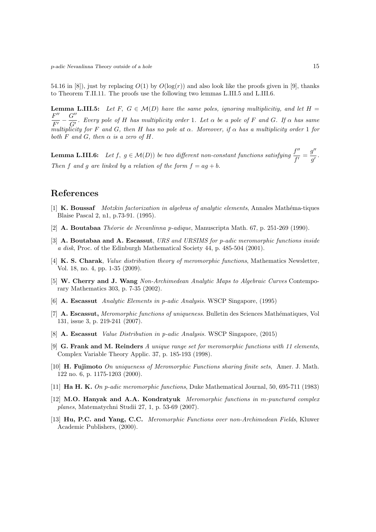54.16 in [8]), just by replacing  $O(1)$  by  $O(\log(r))$  and also look like the proofs given in [9], thanks to Theorem T.II.11. The proofs use the following two lemmas L.III.5 and L.III.6.

**Lemma L.III.5:** Let F,  $G \in \mathcal{M}(D)$  have the same poles, ignoring multiplicitiy, and let H =  $F^{\prime\prime}$  $\frac{F''}{F'} - \frac{G''}{G'}$  $\overline{G}$ . Every pole of H has multiplicity order 1. Let  $\alpha$  be a pole of F and G. If  $\alpha$  has same multiplicity for F and G, then H has no pole at  $\alpha$ . Moreover, if  $\alpha$  has a multiplicity order 1 for both  $F$  and  $G$ , then  $\alpha$  is a zero of  $H$ .

**Lemma L.III.6:** Let  $f, g \in \mathcal{M}(D)$  be two different non-constant functions satisfying  $\frac{f''}{f}$  $\frac{f''}{f'}=\frac{g''}{g'}$  $\frac{g}{g'}$  . Then f and q are linked by a relation of the form  $f = aq + b$ .

## References

- [1] K. Boussaf Motzkin factorization in algebras of analytic elements, Annales Mathéma-tiques Blaise Pascal 2, n1, p.73-91. (1995).
- [2] A. Boutabaa Théorie de Nevanlinna p-adique, Manuscripta Math. 67, p. 251-269 (1990).
- [3] A. Boutabaa and A. Escassut, URS and URSIMS for p-adic meromorphic functions inside a disk, Proc. of the Edinburgh Mathematical Society 44, p. 485-504 (2001).
- [4] K. S. Charak, *Value distribution theory of meromorphic functions*, Mathematics Newsletter, Vol. 18, no. 4, pp. 1-35 (2009).
- [5] W. Cherry and J. Wang Non-Archimedean Analytic Maps to Algebraic Curves Contemporary Mathematics 303, p. 7-35 (2002).
- [6] A. Escassut Analytic Elements in p-adic Analysis. WSCP Singapore, (1995)
- [7] A. Escassut, Meromorphic functions of uniqueness. Bulletin des Sciences Mathématiques, Vol 131, issue 3, p. 219-241 (2007).
- [8] A. Escassut Value Distribution in p-adic Analysis. WSCP Singapore, (2015)
- [9] G. Frank and M. Reinders A unique range set for meromorphic functions with 11 elements, Complex Variable Theory Applic. 37, p. 185-193 (1998).
- [10] H. Fujimoto On uniqueness of Meromorphic Functions sharing finite sets, Amer. J. Math. 122 no. 6, p. 1175-1203 (2000).
- [11] Ha H. K. On p-adic meromorphic functions, Duke Mathematical Journal, 50, 695-711 (1983)
- [12] M.O. Hanyak and A.A. Kondratyuk Meromorphic functions in m-punctured complex planes, Matematychni Studii 27, 1, p. 53-69 (2007).
- [13] Hu, P.C. and Yang, C.C. Meromorphic Functions over non-Archimedean Fields, Kluwer Academic Publishers, (2000).